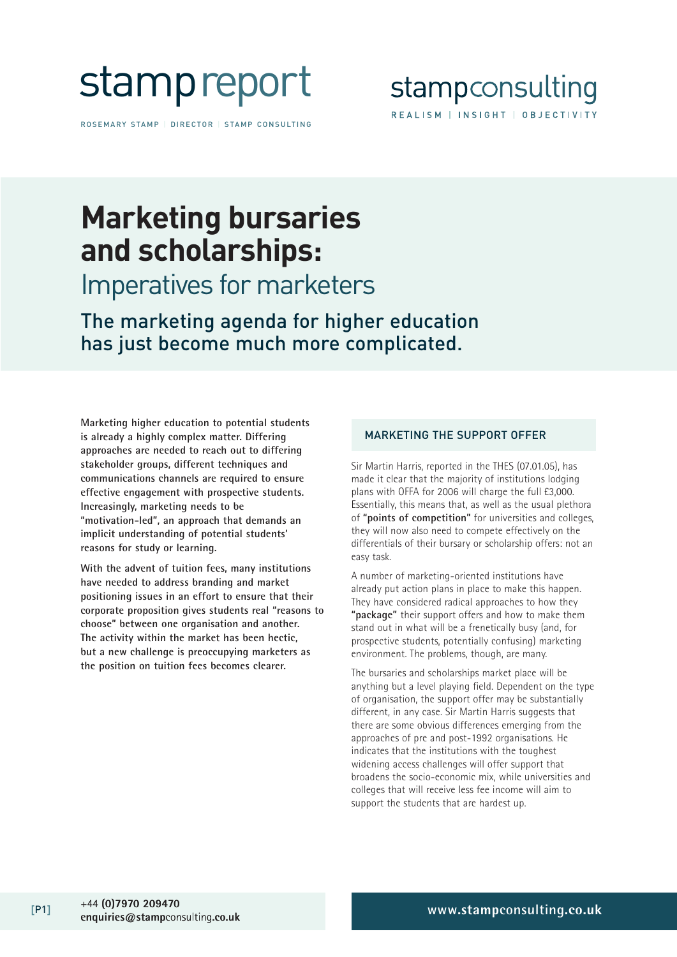

ROSEMARY STAMP | DIRECTOR | STAMP CONSULTING



## **Marketing bursaries and scholarships:**

## Imperatives for marketers

The marketing agenda for higher education has just become much more complicated.

**Marketing higher education to potential students is already a highly complex matter. Differing approaches are needed to reach out to differing stakeholder groups, different techniques and communications channels are required to ensure effective engagement with prospective students. Increasingly, marketing needs to be "motivation-led", an approach that demands an implicit understanding of potential students' reasons for study or learning.**

**With the advent of tuition fees, many institutions have needed to address branding and market positioning issues in an effort to ensure that their corporate proposition gives students real "reasons to choose" between one organisation and another. The activity within the market has been hectic, but a new challenge is preoccupying marketers as the position on tuition fees becomes clearer.** 

### MARKETING THE SUPPORT OFFER

Sir Martin Harris, reported in the THES (07.01.05), has made it clear that the majority of institutions lodging plans with OFFA for 2006 will charge the full £3,000. Essentially, this means that, as well as the usual plethora of **"points of competition"** for universities and colleges, they will now also need to compete effectively on the differentials of their bursary or scholarship offers: not an easy task.

A number of marketing-oriented institutions have already put action plans in place to make this happen. They have considered radical approaches to how they **"package"** their support offers and how to make them stand out in what will be a frenetically busy (and, for prospective students, potentially confusing) marketing environment. The problems, though, are many.

The bursaries and scholarships market place will be anything but a level playing field. Dependent on the type of organisation, the support offer may be substantially different, in any case. Sir Martin Harris suggests that there are some obvious differences emerging from the approaches of pre and post-1992 organisations. He indicates that the institutions with the toughest widening access challenges will offer support that broadens the socio-economic mix, while universities and colleges that will receive less fee income will aim to support the students that are hardest up.